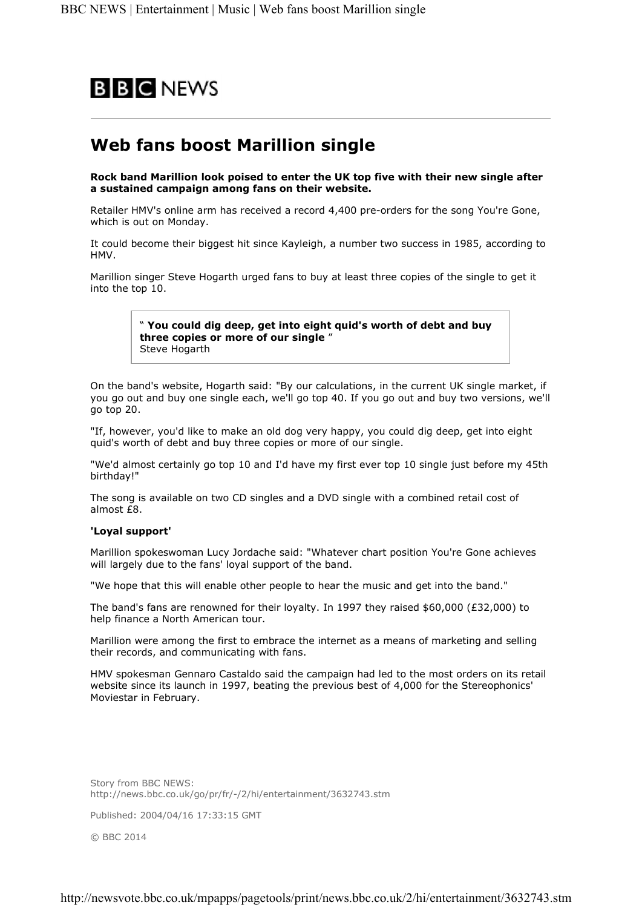

## Web fans boost Marillion single

Rock band Marillion look poised to enter the UK top five with their new single after a sustained campaign among fans on their website.

Retailer HMV's online arm has received a record 4,400 pre-orders for the song You're Gone, which is out on Monday.

It could become their biggest hit since Kayleigh, a number two success in 1985, according to HMV.

Marillion singer Steve Hogarth urged fans to buy at least three copies of the single to get it into the top 10.

> " You could dig deep, get into eight quid's worth of debt and buy three copies or more of our single " Steve Hogarth

On the band's website, Hogarth said: "By our calculations, in the current UK single market, if you go out and buy one single each, we'll go top 40. If you go out and buy two versions, we'll go top 20.

"If, however, you'd like to make an old dog very happy, you could dig deep, get into eight quid's worth of debt and buy three copies or more of our single.

"We'd almost certainly go top 10 and I'd have my first ever top 10 single just before my 45th birthday!"

The song is available on two CD singles and a DVD single with a combined retail cost of almost £8.

## 'Loyal support'

Marillion spokeswoman Lucy Jordache said: "Whatever chart position You're Gone achieves will largely due to the fans' loyal support of the band.

"We hope that this will enable other people to hear the music and get into the band."

The band's fans are renowned for their loyalty. In 1997 they raised  $$60,000$  (£32,000) to help finance a North American tour.

Marillion were among the first to embrace the internet as a means of marketing and selling their records, and communicating with fans.

HMV spokesman Gennaro Castaldo said the campaign had led to the most orders on its retail website since its launch in 1997, beating the previous best of 4,000 for the Stereophonics' Moviestar in February.

Story from BBC NEWS: http://news.bbc.co.uk/go/pr/fr/-/2/hi/entertainment/3632743.stm

Published: 2004/04/16 17:33:15 GMT

© BBC 2014